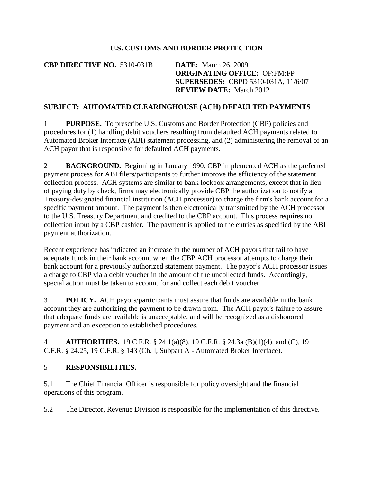## **U.S. CUSTOMS AND BORDER PROTECTION**

**CBP DIRECTIVE NO.** 5310-031B **DATE:** March 26, 2009

**ORIGINATING OFFICE:** OF:FM:FP **SUPERSEDES:** CBPD 5310-031A, 11/6/07 **REVIEW DATE:** March 2012

## **SUBJECT: AUTOMATED CLEARINGHOUSE (ACH) DEFAULTED PAYMENTS**

1 **PURPOSE.** To prescribe U.S. Customs and Border Protection (CBP) policies and procedures for (1) handling debit vouchers resulting from defaulted ACH payments related to Automated Broker Interface (ABI) statement processing, and (2) administering the removal of an ACH payor that is responsible for defaulted ACH payments.

2 **BACKGROUND.** Beginning in January 1990, CBP implemented ACH as the preferred payment process for ABI filers/participants to further improve the efficiency of the statement collection process. ACH systems are similar to bank lockbox arrangements, except that in lieu of paying duty by check, firms may electronically provide CBP the authorization to notify a Treasury-designated financial institution (ACH processor) to charge the firm's bank account for a specific payment amount. The payment is then electronically transmitted by the ACH processor to the U.S. Treasury Department and credited to the CBP account. This process requires no collection input by a CBP cashier. The payment is applied to the entries as specified by the ABI payment authorization.

Recent experience has indicated an increase in the number of ACH payors that fail to have adequate funds in their bank account when the CBP ACH processor attempts to charge their bank account for a previously authorized statement payment. The payor's ACH processor issues a charge to CBP via a debit voucher in the amount of the uncollected funds. Accordingly, special action must be taken to account for and collect each debit voucher.

3 **POLICY.** ACH payors/participants must assure that funds are available in the bank account they are authorizing the payment to be drawn from. The ACH payor's failure to assure that adequate funds are available is unacceptable, and will be recognized as a dishonored payment and an exception to established procedures.

4 **AUTHORITIES.** 19 C.F.R. § 24.1(a)(8), 19 C.F.R. § 24.3a (B)(1)(4), and (C), 19 C.F.R. § 24.25, 19 C.F.R. § 143 (Ch. I, Subpart A - Automated Broker Interface).

## 5 **RESPONSIBILITIES.**

5.1 The Chief Financial Officer is responsible for policy oversight and the financial operations of this program.

5.2 The Director, Revenue Division is responsible for the implementation of this directive.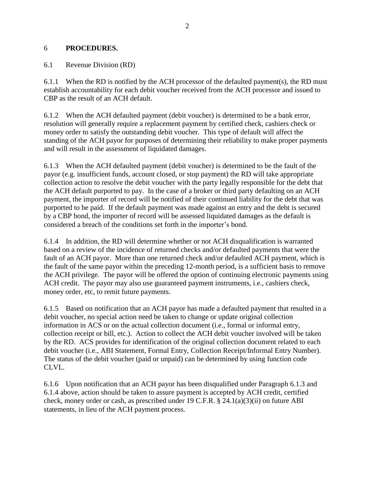## 6 **PROCEDURES.**

6.1 Revenue Division (RD)

6.1.1 When the RD is notified by the ACH processor of the defaulted payment(s), the RD must establish accountability for each debit voucher received from the ACH processor and issued to CBP as the result of an ACH default.

6.1.2 When the ACH defaulted payment (debit voucher) is determined to be a bank error, resolution will generally require a replacement payment by certified check, cashiers check or money order to satisfy the outstanding debit voucher. This type of default will affect the standing of the ACH payor for purposes of determining their reliability to make proper payments and will result in the assessment of liquidated damages.

6.1.3 When the ACH defaulted payment (debit voucher) is determined to be the fault of the payor (e.g. insufficient funds, account closed, or stop payment) the RD will take appropriate collection action to resolve the debit voucher with the party legally responsible for the debt that the ACH default purported to pay. In the case of a broker or third party defaulting on an ACH payment, the importer of record will be notified of their continued liability for the debt that was purported to be paid. If the default payment was made against an entry and the debt is secured by a CBP bond, the importer of record will be assessed liquidated damages as the default is considered a breach of the conditions set forth in the importer's bond.

6.1.4 In addition, the RD will determine whether or not ACH disqualification is warranted based on a review of the incidence of returned checks and/or defaulted payments that were the fault of an ACH payor. More than one returned check and/or defaulted ACH payment, which is the fault of the same payor within the preceding 12-month period, is a sufficient basis to remove the ACH privilege. The payor will be offered the option of continuing electronic payments using ACH credit. The payor may also use guaranteed payment instruments, i.e., cashiers check, money order, etc, to remit future payments.

6.1.5 Based on notification that an ACH payor has made a defaulted payment that resulted in a debit voucher, no special action need be taken to change or update original collection information in ACS or on the actual collection document (i.e., formal or informal entry, collection receipt or bill, etc.). Action to collect the ACH debit voucher involved will be taken by the RD. ACS provides for identification of the original collection document related to each debit voucher (i.e., ABI Statement, Formal Entry, Collection Receipt/Informal Entry Number). The status of the debit voucher (paid or unpaid) can be determined by using function code CLVL.

6.1.6 Upon notification that an ACH payor has been disqualified under Paragraph 6.1.3 and 6.1.4 above, action should be taken to assure payment is accepted by ACH credit, certified check, money order or cash, as prescribed under 19 C.F.R. § 24.1(a)(3)(ii) on future ABI statements, in lieu of the ACH payment process.